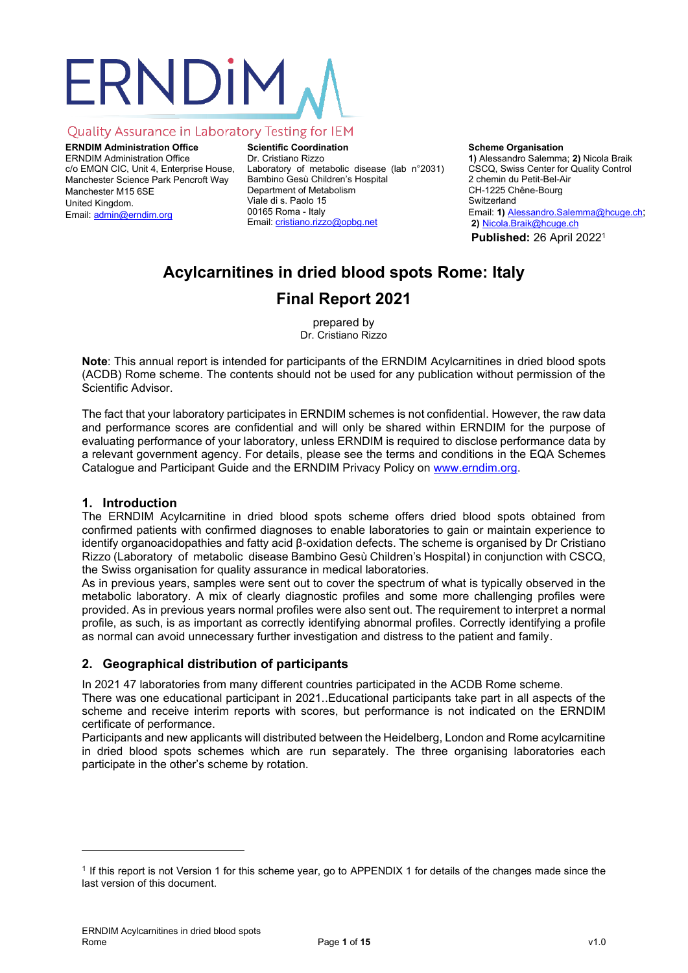# ERNDIM

# Quality Assurance in Laboratory Testing for IEM

**ERNDIM Administration Office** ERNDIM Administration Office c/o EMQN CIC, Unit 4, Enterprise House, Manchester Science Park Pencroft Way Manchester M15 6SE United Kingdom. Email: [admin@erndim.org](mailto:admin@erndim.org)

**Scientific Coordination** Dr. Cristiano Rizzo Laboratory of metabolic disease (lab n°2031) Bambino Gesù Children's Hospital Department of Metabolism Viale di s. Paolo 15 00165 Roma - Italy Email[: cristiano.rizzo@opbg.net](mailto:cristiano.rizzo@opbg.net)

# **Scheme Organisation**

**1)** Alessandro Salemma; **2)** Nicola Braik CSCQ, Swiss Center for Quality Control 2 chemin du Petit-Bel-Air CH-1225 Chêne-Bourg Switzerland Email: **1)** Alessandro.Salemma@hcuge.ch; **2)** Nicola.Braik@hcuge.ch **Published:** 26 April 2022<sup>1</sup>

# **Acylcarnitines in dried blood spots Rome: Italy Final Report 2021**

prepared by Dr. Cristiano Rizzo

**Note**: This annual report is intended for participants of the ERNDIM Acylcarnitines in dried blood spots (ACDB) Rome scheme. The contents should not be used for any publication without permission of the Scientific Advisor.

The fact that your laboratory participates in ERNDIM schemes is not confidential. However, the raw data and performance scores are confidential and will only be shared within ERNDIM for the purpose of evaluating performance of your laboratory, unless ERNDIM is required to disclose performance data by a relevant government agency. For details, please see the terms and conditions in the EQA Schemes Catalogue and Participant Guide and the ERNDIM Privacy Policy on [www.erndim.org.](http://www.erndim.org/)

# **1. Introduction**

The ERNDIM Acylcarnitine in dried blood spots scheme offers dried blood spots obtained from confirmed patients with confirmed diagnoses to enable laboratories to gain or maintain experience to identify organoacidopathies and fatty acid β-oxidation defects. The scheme is organised by Dr Cristiano Rizzo (Laboratory of metabolic disease Bambino Gesù Children's Hospital) in conjunction with CSCQ, the Swiss organisation for quality assurance in medical laboratories.

As in previous years, samples were sent out to cover the spectrum of what is typically observed in the metabolic laboratory. A mix of clearly diagnostic profiles and some more challenging profiles were provided. As in previous years normal profiles were also sent out. The requirement to interpret a normal profile, as such, is as important as correctly identifying abnormal profiles. Correctly identifying a profile as normal can avoid unnecessary further investigation and distress to the patient and family.

# **2. Geographical distribution of participants**

In 2021 47 laboratories from many different countries participated in the ACDB Rome scheme.

There was one educational participant in 2021..Educational participants take part in all aspects of the scheme and receive interim reports with scores, but performance is not indicated on the ERNDIM certificate of performance.

Participants and new applicants will distributed between the Heidelberg, London and Rome acylcarnitine in dried blood spots schemes which are run separately. The three organising laboratories each participate in the other's scheme by rotation.

<sup>1</sup> If this report is not Version 1 for this scheme year, go to [APPENDIX 1](#page-14-0) for details of the changes made since the last version of this document.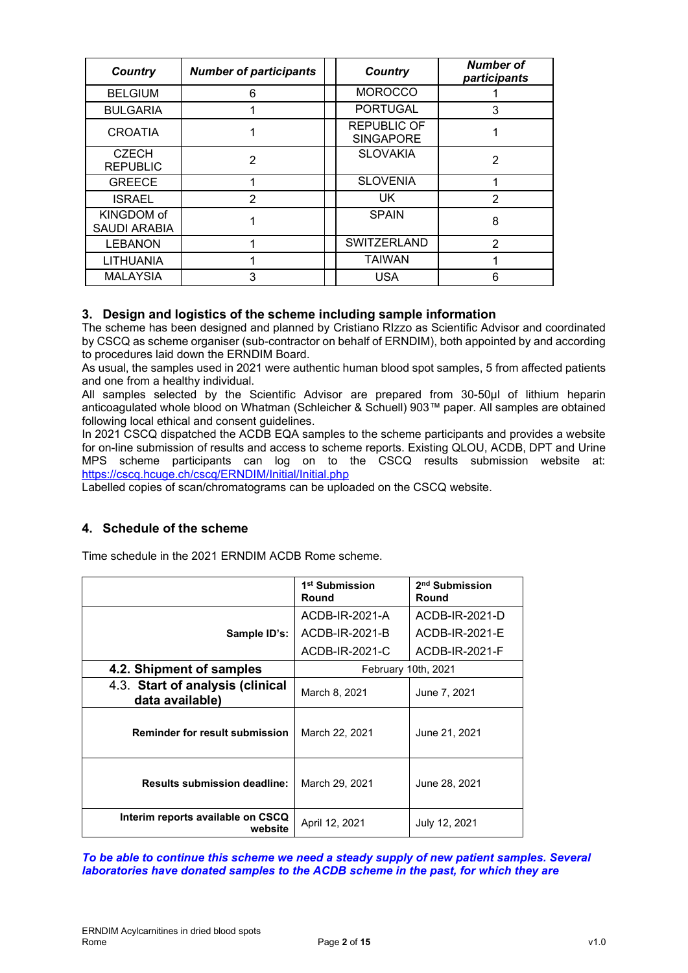| Country                         | <b>Number of participants</b> | <b>Country</b>                         | Number of<br>participants |
|---------------------------------|-------------------------------|----------------------------------------|---------------------------|
| <b>BELGIUM</b>                  | 6                             | <b>MOROCCO</b>                         |                           |
| <b>BULGARIA</b>                 |                               | <b>PORTUGAL</b>                        | 3                         |
| <b>CROATIA</b>                  |                               | <b>REPUBLIC OF</b><br><b>SINGAPORE</b> |                           |
| <b>CZECH</b><br><b>REPUBLIC</b> | 2                             | <b>SLOVAKIA</b>                        | 2                         |
| <b>GREECE</b>                   |                               | <b>SLOVENIA</b>                        |                           |
| <b>ISRAEL</b>                   | 2                             | UK.                                    | 2                         |
| KINGDOM of<br>SAUDI ARABIA      |                               | <b>SPAIN</b>                           | 8                         |
| <b>LEBANON</b>                  |                               | <b>SWITZERLAND</b>                     | $\overline{2}$            |
| <b>LITHUANIA</b>                |                               | <b>TAIWAN</b>                          |                           |
| <b>MALAYSIA</b>                 | 3                             | <b>USA</b>                             | 6                         |

# **3. Design and logistics of the scheme including sample information**

The scheme has been designed and planned by Cristiano RIzzo as Scientific Advisor and coordinated by CSCQ as scheme organiser (sub-contractor on behalf of ERNDIM), both appointed by and according to procedures laid down the ERNDIM Board.

As usual, the samples used in 2021 were authentic human blood spot samples, 5 from affected patients and one from a healthy individual.

All samples selected by the Scientific Advisor are prepared from 30-50µl of lithium heparin anticoagulated whole blood on Whatman (Schleicher & Schuell) 903™ paper. All samples are obtained following local ethical and consent guidelines.

In 2021 CSCQ dispatched the ACDB EQA samples to the scheme participants and provides a website for on-line submission of results and access to scheme reports. Existing QLOU, ACDB, DPT and Urine MPS scheme participants can log on to the CSCQ results submission website at: <https://cscq.hcuge.ch/cscq/ERNDIM/Initial/Initial.php>

Labelled copies of scan/chromatograms can be uploaded on the CSCQ website.

# **4. Schedule of the scheme**

Time schedule in the 2021 ERNDIM ACDB Rome scheme.

|                                                     | 1 <sup>st</sup> Submission<br>Round | 2 <sup>nd</sup> Submission<br>Round |  |  |
|-----------------------------------------------------|-------------------------------------|-------------------------------------|--|--|
|                                                     | ACDB-IR-2021-A                      | ACDB-IR-2021-D                      |  |  |
| Sample ID's:                                        | ACDB-IR-2021-B                      | ACDB-IR-2021-E                      |  |  |
|                                                     | ACDB-IR-2021-C                      | ACDB-IR-2021-F                      |  |  |
| 4.2. Shipment of samples                            | February 10th, 2021                 |                                     |  |  |
| 4.3. Start of analysis (clinical<br>data available) | March 8, 2021                       | June 7, 2021                        |  |  |
| <b>Reminder for result submission</b>               | March 22, 2021                      | June 21, 2021                       |  |  |
| <b>Results submission deadline:</b>                 | March 29, 2021                      | June 28, 2021                       |  |  |
| Interim reports available on CSCQ<br>website        | April 12, 2021                      | July 12, 2021                       |  |  |

*To be able to continue this scheme we need a steady supply of new patient samples. Several laboratories have donated samples to the ACDB scheme in the past, for which they are*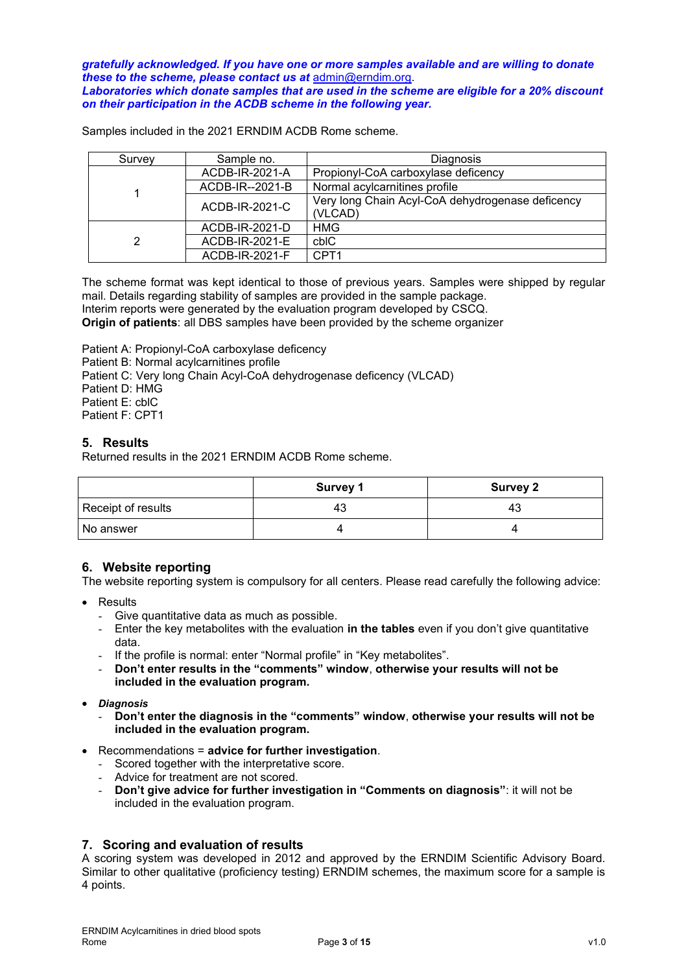*gratefully acknowledged. If you have one or more samples available and are willing to donate these to the scheme, please contact us at* [admin@erndim.org.](mailto:admin@erndim.org) *Laboratories which donate samples that are used in the scheme are eligible for a 20% discount on their participation in the ACDB scheme in the following year.*

Samples included in the 2021 ERNDIM ACDB Rome scheme.

| Survey | Sample no.      | Diagnosis                                                   |
|--------|-----------------|-------------------------------------------------------------|
|        | ACDB-IR-2021-A  | Propionyl-CoA carboxylase deficency                         |
|        | ACDB-IR--2021-B | Normal acylcarnitines profile                               |
|        | ACDB-IR-2021-C  | Very long Chain Acyl-CoA dehydrogenase deficency<br>(VLCAD) |
|        | ACDB-IR-2021-D  | <b>HMG</b>                                                  |
| 2      | ACDB-IR-2021-E  | cbIC                                                        |
|        | ACDB-IR-2021-F  | CPT <sub>1</sub>                                            |

The scheme format was kept identical to those of previous years. Samples were shipped by regular mail. Details regarding stability of samples are provided in the sample package.

Interim reports were generated by the evaluation program developed by CSCQ. **Origin of patients**: all DBS samples have been provided by the scheme organizer

Patient A: Propionyl-CoA carboxylase deficency

Patient B: Normal acylcarnitines profile

Patient C: Very long Chain Acyl-CoA dehydrogenase deficency (VLCAD)

Patient D: HMG

Patient E: cblC

Patient F: CPT1

# **5. Results**

Returned results in the 2021 ERNDIM ACDB Rome scheme.

|                    | <b>Survey 1</b> | <b>Survey 2</b> |
|--------------------|-----------------|-----------------|
| Receipt of results | 43              | 43              |
| l No answer        |                 |                 |

# **6. Website reporting**

The website reporting system is compulsory for all centers. Please read carefully the following advice:

- Results
	- Give quantitative data as much as possible.
	- Enter the key metabolites with the evaluation **in the tables** even if you don't give quantitative data.
	- If the profile is normal: enter "Normal profile" in "Key metabolites".
	- **Don't enter results in the "comments" window**, **otherwise your results will not be included in the evaluation program.**
- *Diagnosis*
	- **Don't enter the diagnosis in the "comments" window**, **otherwise your results will not be included in the evaluation program.**
- Recommendations = **advice for further investigation**.
	- Scored together with the interpretative score.
	- Advice for treatment are not scored.
	- **Don't give advice for further investigation in "Comments on diagnosis"**: it will not be included in the evaluation program.

# **7. Scoring and evaluation of results**

A scoring system was developed in 2012 and approved by the ERNDIM Scientific Advisory Board. Similar to other qualitative (proficiency testing) ERNDIM schemes, the maximum score for a sample is 4 points.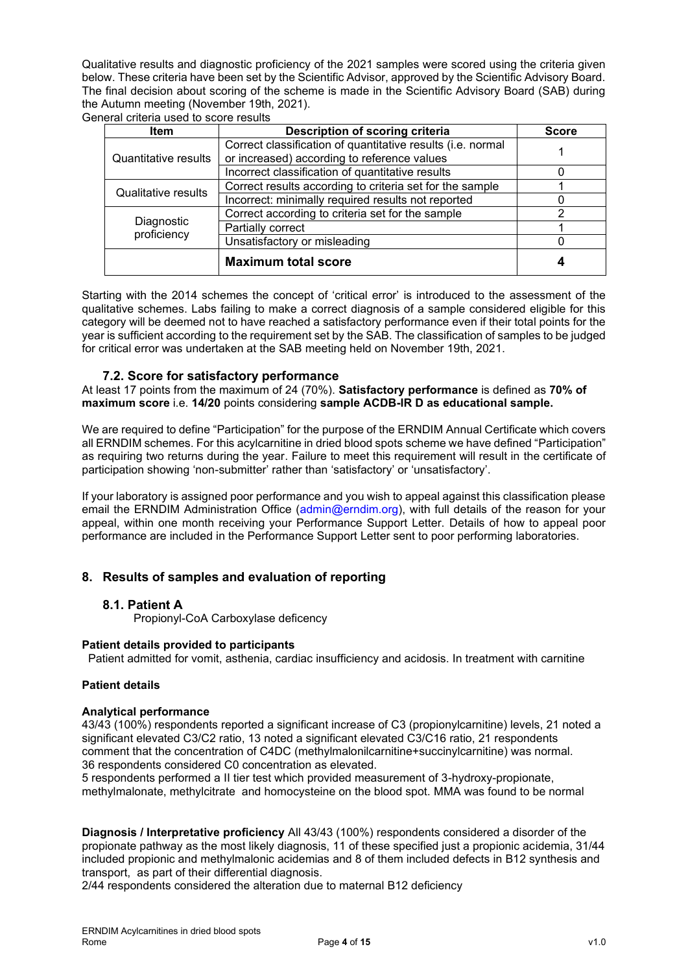Qualitative results and diagnostic proficiency of the 2021 samples were scored using the criteria given below. These criteria have been set by the Scientific Advisor, approved by the Scientific Advisory Board. The final decision about scoring of the scheme is made in the Scientific Advisory Board (SAB) during the Autumn meeting (November 19th, 2021). General criteria used to score results

| <b>Item</b>                | Description of scoring criteria                             | <b>Score</b> |
|----------------------------|-------------------------------------------------------------|--------------|
|                            | Correct classification of quantitative results (i.e. normal |              |
| Quantitative results       | or increased) according to reference values                 |              |
|                            | Incorrect classification of quantitative results            |              |
| <b>Qualitative results</b> | Correct results according to criteria set for the sample    |              |
|                            | Incorrect: minimally required results not reported          |              |
|                            | Correct according to criteria set for the sample            | 2            |
| Diagnostic<br>proficiency  | Partially correct                                           |              |
|                            | Unsatisfactory or misleading                                |              |
|                            | <b>Maximum total score</b>                                  |              |

Starting with the 2014 schemes the concept of 'critical error' is introduced to the assessment of the qualitative schemes. Labs failing to make a correct diagnosis of a sample considered eligible for this category will be deemed not to have reached a satisfactory performance even if their total points for the year is sufficient according to the requirement set by the SAB. The classification of samples to be judged for critical error was undertaken at the SAB meeting held on November 19th, 2021.

# **7.2. Score for satisfactory performance**

At least 17 points from the maximum of 24 (70%). **Satisfactory performance** is defined as **70% of maximum score** i.e. **14/20** points considering **sample ACDB-IR D as educational sample.**

We are required to define "Participation" for the purpose of the ERNDIM Annual Certificate which covers all ERNDIM schemes. For this acylcarnitine in dried blood spots scheme we have defined "Participation" as requiring two returns during the year. Failure to meet this requirement will result in the certificate of participation showing 'non-submitter' rather than 'satisfactory' or 'unsatisfactory'.

If your laboratory is assigned poor performance and you wish to appeal against this classification please email the ERNDIM Administration Office (admin@erndim.org), with full details of the reason for your appeal, within one month receiving your Performance Support Letter. Details of how to appeal poor performance are included in the Performance Support Letter sent to poor performing laboratories.

# **8. Results of samples and evaluation of reporting**

# **8.1. Patient A**

Propionyl-CoA Carboxylase deficency

#### **Patient details provided to participants**

Patient admitted for vomit, asthenia, cardiac insufficiency and acidosis. In treatment with carnitine

#### **Patient details**

#### **Analytical performance**

43/43 (100%) respondents reported a significant increase of C3 (propionylcarnitine) levels, 21 noted a significant elevated C3/C2 ratio, 13 noted a significant elevated C3/C16 ratio, 21 respondents comment that the concentration of C4DC (methylmalonilcarnitine+succinylcarnitine) was normal. 36 respondents considered C0 concentration as elevated.

5 respondents performed a II tier test which provided measurement of 3-hydroxy-propionate, methylmalonate, methylcitrate and homocysteine on the blood spot. MMA was found to be normal

**Diagnosis / Interpretative proficiency** All 43/43 (100%) respondents considered a disorder of the propionate pathway as the most likely diagnosis, 11 of these specified just a propionic acidemia, 31/44 included propionic and methylmalonic acidemias and 8 of them included defects in B12 synthesis and transport, as part of their differential diagnosis.

2/44 respondents considered the alteration due to maternal B12 deficiency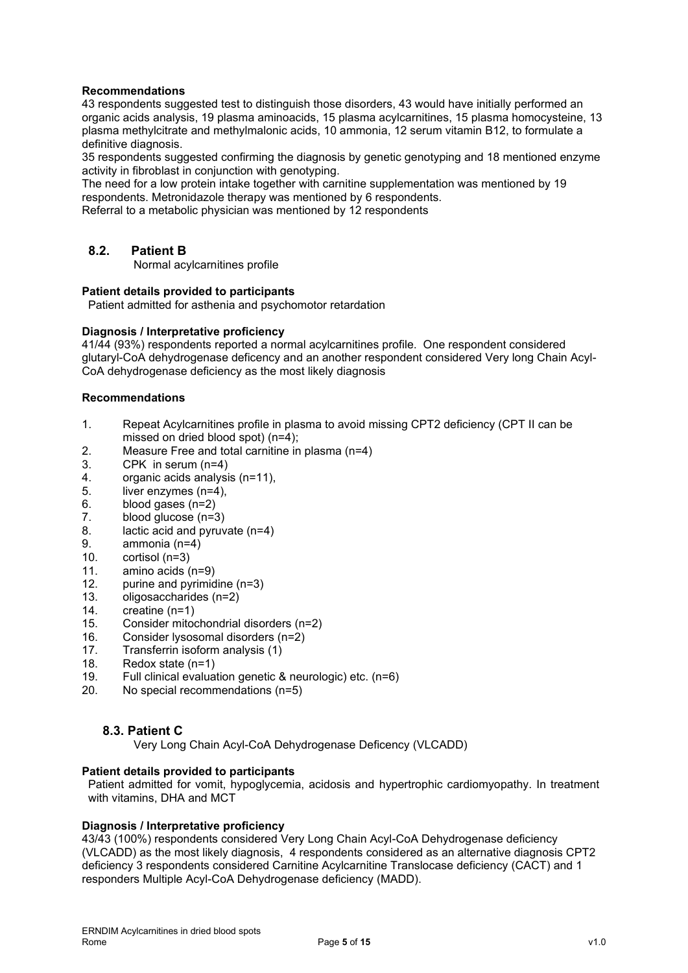#### **Recommendations**

43 respondents suggested test to distinguish those disorders, 43 would have initially performed an organic acids analysis, 19 plasma aminoacids, 15 plasma acylcarnitines, 15 plasma homocysteine, 13 plasma methylcitrate and methylmalonic acids, 10 ammonia, 12 serum vitamin B12, to formulate a definitive diagnosis.

35 respondents suggested confirming the diagnosis by genetic genotyping and 18 mentioned enzyme activity in fibroblast in conjunction with genotyping.

The need for a low protein intake together with carnitine supplementation was mentioned by 19 respondents. Metronidazole therapy was mentioned by 6 respondents.

Referral to a metabolic physician was mentioned by 12 respondents

# **8.2. Patient B**

Normal acylcarnitines profile

#### **Patient details provided to participants**

Patient admitted for asthenia and psychomotor retardation

#### **Diagnosis / Interpretative proficiency**

41/44 (93%) respondents reported a normal acylcarnitines profile. One respondent considered glutaryl-CoA dehydrogenase deficency and an another respondent considered Very long Chain Acyl-CoA dehydrogenase deficiency as the most likely diagnosis

#### **Recommendations**

- 1. Repeat Acylcarnitines profile in plasma to avoid missing CPT2 deficiency (CPT II can be missed on dried blood spot) (n=4);
- 2. Measure Free and total carnitine in plasma (n=4)
- 3. CPK in serum (n=4)
- 4. organic acids analysis (n=11),
- 5. liver enzymes (n=4),
- 6. blood gases  $(n=2)$ <br>7. blood glucose  $(n=3)$
- blood glucose (n=3)
- 8. lactic acid and pyruvate (n=4)
- 9. ammonia (n=4)
- 10. cortisol (n=3)
- 11. amino acids (n=9)
- 12. purine and pyrimidine (n=3)
- 13. oligosaccharides (n=2)
- 14. creatine (n=1)
- 15. Consider mitochondrial disorders (n=2)
- 16. Consider lysosomal disorders (n=2)
- 17. Transferrin isoform analysis (1)
- 18. Redox state (n=1)
- 19. Full clinical evaluation genetic & neurologic) etc. (n=6)
- 20. No special recommendations (n=5)

# **8.3. Patient C**

Very Long Chain Acyl-CoA Dehydrogenase Deficency (VLCADD)

# **Patient details provided to participants**

Patient admitted for vomit, hypoglycemia, acidosis and hypertrophic cardiomyopathy. In treatment with vitamins, DHA and MCT

#### **Diagnosis / Interpretative proficiency**

43/43 (100%) respondents considered Very Long Chain Acyl-CoA Dehydrogenase deficiency (VLCADD) as the most likely diagnosis, 4 respondents considered as an alternative diagnosis CPT2 deficiency 3 respondents considered Carnitine Acylcarnitine Translocase deficiency (CACT) and 1 responders Multiple Acyl-CoA Dehydrogenase deficiency (MADD).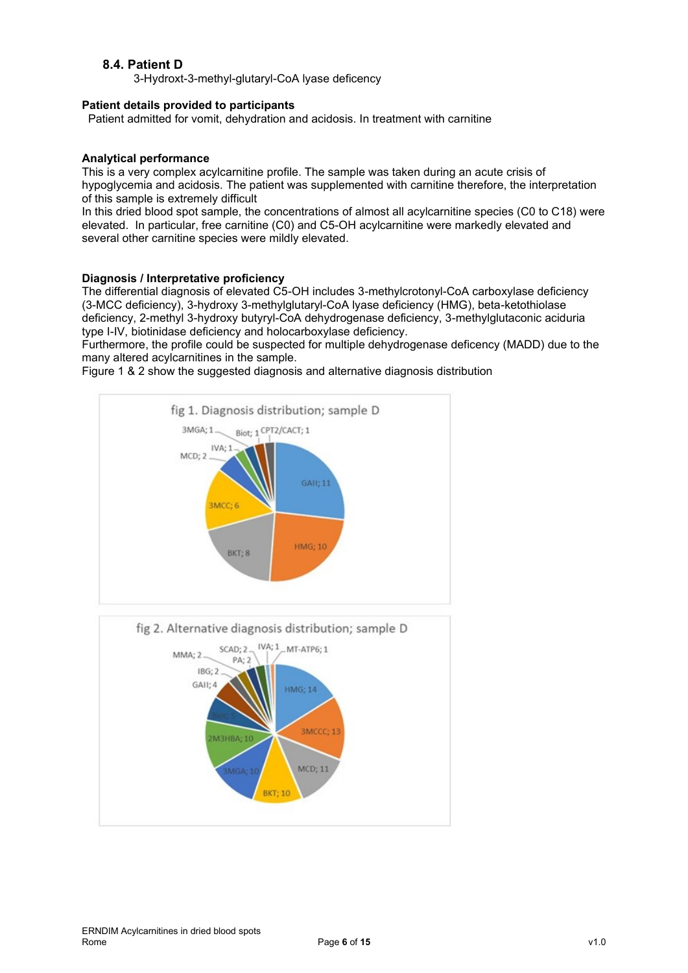# **8.4. Patient D**

3-Hydroxt-3-methyl-glutaryl-CoA lyase deficency

# **Patient details provided to participants**

Patient admitted for vomit, dehydration and acidosis. In treatment with carnitine

#### **Analytical performance**

This is a very complex acylcarnitine profile. The sample was taken during an acute crisis of hypoglycemia and acidosis. The patient was supplemented with carnitine therefore, the interpretation of this sample is extremely difficult

In this dried blood spot sample, the concentrations of almost all acylcarnitine species (C0 to C18) were elevated. In particular, free carnitine (C0) and C5-OH acylcarnitine were markedly elevated and several other carnitine species were mildly elevated.

#### **Diagnosis / Interpretative proficiency**

The differential diagnosis of elevated C5-OH includes 3-methylcrotonyl-CoA carboxylase deficiency (3-MCC deficiency), 3-hydroxy 3-methylglutaryl-CoA lyase deficiency (HMG), beta-ketothiolase deficiency, 2-methyl 3-hydroxy butyryl-CoA dehydrogenase deficiency, 3-methylglutaconic aciduria type I-IV, biotinidase deficiency and holocarboxylase deficiency.

Furthermore, the profile could be suspected for multiple dehydrogenase deficency (MADD) due to the many altered acylcarnitines in the sample.

Figure 1 & 2 show the suggested diagnosis and alternative diagnosis distribution

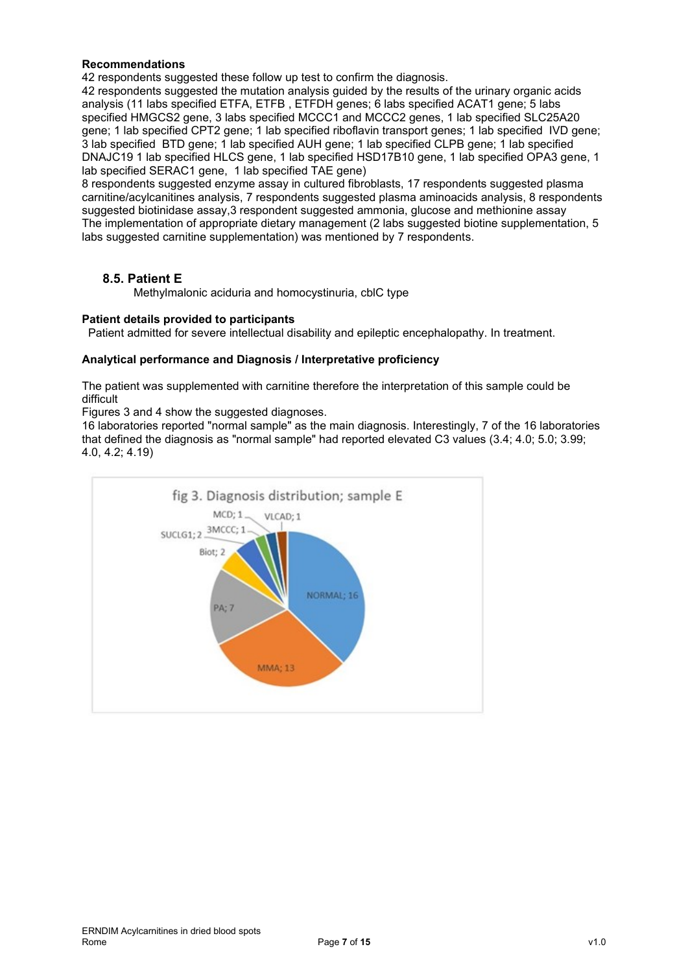# **Recommendations**

42 respondents suggested these follow up test to confirm the diagnosis.

42 respondents suggested the mutation analysis guided by the results of the urinary organic acids analysis (11 labs specified ETFA, ETFB , ETFDH genes; 6 labs specified ACAT1 gene; 5 labs specified HMGCS2 gene, 3 labs specified MCCC1 and MCCC2 genes, 1 lab specified SLC25A20 gene; 1 lab specified CPT2 gene; 1 lab specified riboflavin transport genes; 1 lab specified IVD gene; 3 lab specified BTD gene; 1 lab specified AUH gene; 1 lab specified CLPB gene; 1 lab specified DNAJC19 1 lab specified HLCS gene, 1 lab specified HSD17B10 gene, 1 lab specified OPA3 gene, 1 lab specified SERAC1 gene, 1 lab specified TAE gene)

8 respondents suggested enzyme assay in cultured fibroblasts, 17 respondents suggested plasma carnitine/acylcanitines analysis, 7 respondents suggested plasma aminoacids analysis, 8 respondents suggested biotinidase assay,3 respondent suggested ammonia, glucose and methionine assay The implementation of appropriate dietary management (2 labs suggested biotine supplementation, 5 labs suggested carnitine supplementation) was mentioned by 7 respondents.

# **8.5. Patient E**

Methylmalonic aciduria and homocystinuria, cblC type

#### **Patient details provided to participants**

Patient admitted for severe intellectual disability and epileptic encephalopathy. In treatment.

#### **Analytical performance and Diagnosis / Interpretative proficiency**

The patient was supplemented with carnitine therefore the interpretation of this sample could be difficult

Figures 3 and 4 show the suggested diagnoses.

16 laboratories reported "normal sample" as the main diagnosis. Interestingly, 7 of the 16 laboratories that defined the diagnosis as "normal sample" had reported elevated C3 values (3.4; 4.0; 5.0; 3.99; 4.0, 4.2; 4.19)

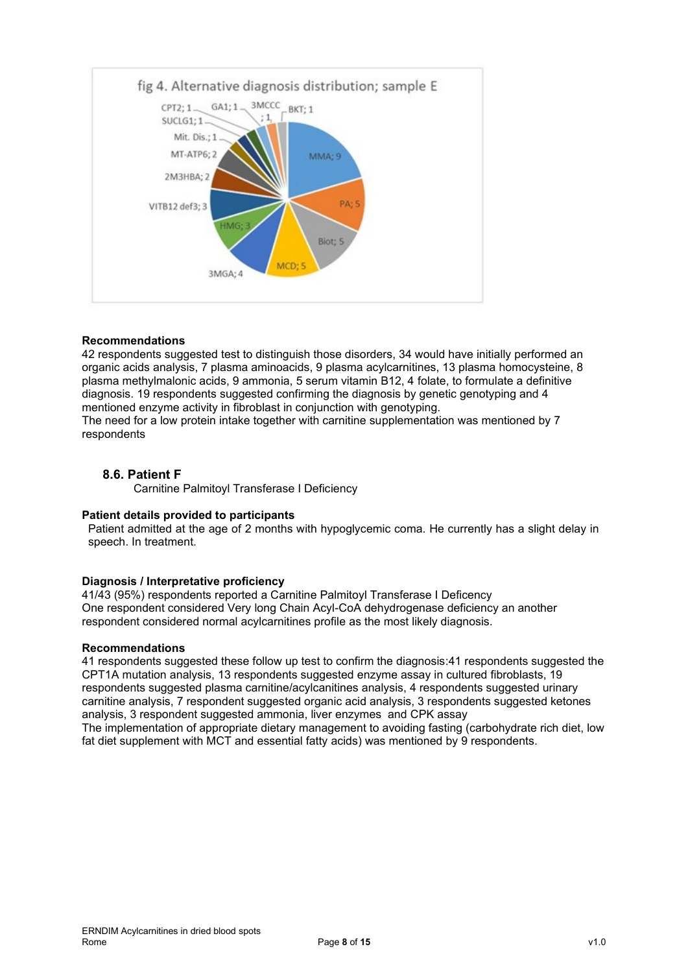

# **Recommendations**

42 respondents suggested test to distinguish those disorders, 34 would have initially performed an organic acids analysis, 7 plasma aminoacids, 9 plasma acylcarnitines, 13 plasma homocysteine, 8 plasma methylmalonic acids, 9 ammonia, 5 serum vitamin B12, 4 folate, to formulate a definitive diagnosis. 19 respondents suggested confirming the diagnosis by genetic genotyping and 4 mentioned enzyme activity in fibroblast in conjunction with genotyping. The need for a low protein intake together with carnitine supplementation was mentioned by 7

respondents

# **8.6. Patient F**

Carnitine Palmitoyl Transferase I Deficiency

#### **Patient details provided to participants**

Patient admitted at the age of 2 months with hypoglycemic coma. He currently has a slight delay in speech. In treatment.

#### **Diagnosis / Interpretative proficiency**

41/43 (95%) respondents reported a Carnitine Palmitoyl Transferase I Deficency One respondent considered Very long Chain Acyl-CoA dehydrogenase deficiency an another respondent considered normal acylcarnitines profile as the most likely diagnosis.

#### **Recommendations**

41 respondents suggested these follow up test to confirm the diagnosis:41 respondents suggested the CPT1A mutation analysis, 13 respondents suggested enzyme assay in cultured fibroblasts, 19 respondents suggested plasma carnitine/acylcanitines analysis, 4 respondents suggested urinary carnitine analysis, 7 respondent suggested organic acid analysis, 3 respondents suggested ketones analysis, 3 respondent suggested ammonia, liver enzymes and CPK assay The implementation of appropriate dietary management to avoiding fasting (carbohydrate rich diet, low fat diet supplement with MCT and essential fatty acids) was mentioned by 9 respondents.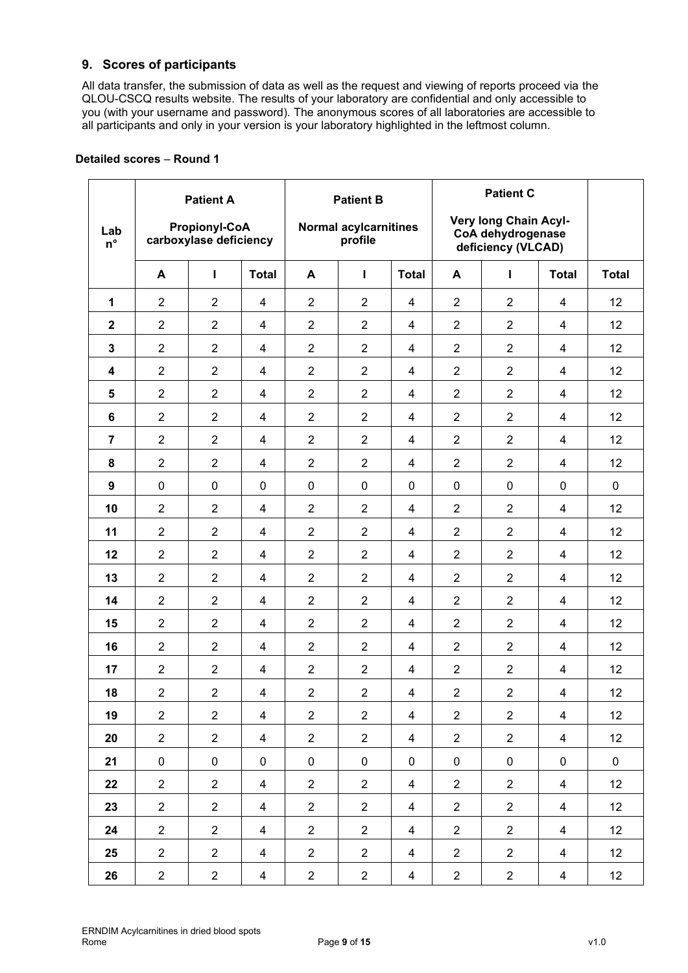# **9. Scores of participants**

All data transfer, the submission of data as well as the request and viewing of reports proceed via the QLOU-CSCQ results website. The results of your laboratory are confidential and only accessible to you (with your username and password). The anonymous scores of all laboratories are accessible to all participants and only in your version is your laboratory highlighted in the leftmost column.

|                         |                | <b>Patient A</b>                               |                | <b>Patient B</b> |                                         |                |                | <b>Patient C</b>                                                 |                         |              |
|-------------------------|----------------|------------------------------------------------|----------------|------------------|-----------------------------------------|----------------|----------------|------------------------------------------------------------------|-------------------------|--------------|
| Lab<br>$n^{\circ}$      |                | <b>Propionyl-CoA</b><br>carboxylase deficiency |                |                  | <b>Normal acylcarnitines</b><br>profile |                |                | Very long Chain Acyl-<br>CoA dehydrogenase<br>deficiency (VLCAD) |                         |              |
|                         | A              | $\mathbf{I}$                                   | <b>Total</b>   | A                | п                                       | <b>Total</b>   | A              | Т                                                                | <b>Total</b>            | <b>Total</b> |
| 1                       | $\overline{2}$ | $\overline{2}$                                 | 4              | $\overline{2}$   | $\overline{2}$                          | 4              | $\overline{2}$ | $\overline{2}$                                                   | 4                       | 12           |
| $\mathbf{2}$            | $\overline{2}$ | $\overline{2}$                                 | $\overline{4}$ | $\overline{2}$   | $\overline{2}$                          | $\overline{4}$ | $\overline{2}$ | $\overline{2}$                                                   | 4                       | 12           |
| 3                       | $\overline{2}$ | $\overline{2}$                                 | 4              | $\overline{2}$   | $\overline{2}$                          | $\overline{4}$ | $\overline{2}$ | $\overline{2}$                                                   | $\overline{4}$          | 12           |
| $\overline{\mathbf{4}}$ | $\overline{2}$ | $\overline{2}$                                 | $\overline{4}$ | $\overline{2}$   | $\overline{2}$                          | 4              | $\overline{2}$ | $\overline{2}$                                                   | 4                       | 12           |
| 5                       | $\overline{2}$ | $\overline{2}$                                 | 4              | $\overline{2}$   | $\overline{2}$                          | 4              | $\overline{2}$ | $\overline{2}$                                                   | 4                       | 12           |
| 6                       | $\overline{2}$ | $\overline{2}$                                 | $\overline{4}$ | $\overline{2}$   | $\overline{2}$                          | $\overline{4}$ | $\overline{2}$ | $\overline{2}$                                                   | 4                       | 12           |
| $\overline{7}$          | $\overline{2}$ | $\overline{2}$                                 | 4              | $\overline{2}$   | $\overline{2}$                          | 4              | $\overline{2}$ | $\overline{2}$                                                   | 4                       | 12           |
| 8                       | $\overline{2}$ | $\overline{2}$                                 | 4              | $\overline{2}$   | $\overline{2}$                          | $\overline{4}$ | $\overline{2}$ | $\overline{2}$                                                   | 4                       | 12           |
| $\boldsymbol{9}$        | $\pmb{0}$      | $\mathbf 0$                                    | $\mathbf 0$    | $\pmb{0}$        | $\mathbf 0$                             | 0              | $\mathbf 0$    | $\pmb{0}$                                                        | 0                       | $\pmb{0}$    |
| 10                      | $\overline{2}$ | $\overline{2}$                                 | 4              | $\overline{2}$   | $\overline{2}$                          | $\overline{4}$ | $\overline{2}$ | $\overline{2}$                                                   | 4                       | 12           |
| 11                      | $\overline{2}$ | $\overline{2}$                                 | 4              | $\overline{2}$   | $\overline{2}$                          | 4              | $\overline{2}$ | $\overline{2}$                                                   | 4                       | 12           |
| 12                      | $\overline{2}$ | $\overline{2}$                                 | 4              | $\overline{2}$   | $\overline{2}$                          | $\overline{4}$ | $\overline{2}$ | $\overline{2}$                                                   | $\overline{\mathbf{4}}$ | 12           |
| 13                      | $\overline{2}$ | $\overline{2}$                                 | 4              | $\overline{2}$   | $\overline{2}$                          | 4              | $\overline{2}$ | $\overline{2}$                                                   | 4                       | 12           |
| 14                      | $\overline{2}$ | $\overline{2}$                                 | 4              | $\overline{2}$   | $\overline{2}$                          | $\overline{4}$ | $\overline{2}$ | $\overline{2}$                                                   | 4                       | 12           |
| 15                      | $\overline{2}$ | $\overline{2}$                                 | 4              | $\overline{2}$   | $\overline{2}$                          | 4              | $\overline{2}$ | $\overline{2}$                                                   | 4                       | 12           |
| 16                      | $\overline{2}$ | $\overline{2}$                                 | 4              | $\overline{2}$   | $\overline{2}$                          | 4              | $\overline{2}$ | $\overline{2}$                                                   | 4                       | 12           |
| 17                      | $\overline{2}$ | $\overline{2}$                                 | $\overline{4}$ | $\overline{2}$   | $\overline{2}$                          | $\overline{4}$ | $\overline{2}$ | $\overline{2}$                                                   | 4                       | 12           |
| 18                      | $\overline{2}$ | $\overline{2}$                                 | 4              | $\overline{2}$   | $\overline{2}$                          | 4              | $\overline{2}$ | $\overline{2}$                                                   | 4                       | 12           |
| 19                      | $\overline{2}$ | $\overline{2}$                                 | $\overline{4}$ | $\overline{2}$   | $\overline{2}$                          | $\overline{4}$ | $\overline{2}$ | $\overline{2}$                                                   | $\overline{4}$          | 12           |
| 20                      | $\overline{2}$ | $\overline{2}$                                 | $\overline{4}$ | $\overline{2}$   | $\overline{2}$                          | $\overline{4}$ | $\overline{2}$ | $\overline{2}$                                                   | 4                       | 12           |
| 21                      | $\pmb{0}$      | $\mathbf 0$                                    | $\mathbf 0$    | $\mathbf 0$      | $\mathbf 0$                             | $\mathbf 0$    | 0              | $\pmb{0}$                                                        | $\mathbf 0$             | $\pmb{0}$    |
| 22                      | $\overline{2}$ | $\overline{2}$                                 | $\overline{4}$ | $\overline{2}$   | $\overline{2}$                          | $\overline{4}$ | $\overline{2}$ | $\overline{2}$                                                   | $\overline{4}$          | 12           |
| 23                      | $\overline{2}$ | $\overline{2}$                                 | $\overline{4}$ | $\overline{2}$   | $\overline{2}$                          | 4              | $\overline{2}$ | $\overline{2}$                                                   | 4                       | 12           |
| 24                      | $\overline{2}$ | $\overline{2}$                                 | $\overline{4}$ | $\overline{2}$   | $\overline{2}$                          | $\overline{4}$ | $\overline{2}$ | $\overline{2}$                                                   | $\overline{4}$          | 12           |
| 25                      | $\overline{2}$ | $\overline{2}$                                 | $\overline{4}$ | $\overline{2}$   | $\overline{2}$                          | $\overline{4}$ | $\overline{2}$ | $\overline{2}$                                                   | $\overline{4}$          | 12           |
| 26                      | $\overline{2}$ | $\overline{2}$                                 | $\overline{4}$ | $\overline{a}$   | $\overline{2}$                          | $\overline{4}$ | $\overline{2}$ | $\overline{c}$                                                   | $\overline{4}$          | 12           |

# **Detailed scores** – **Round 1**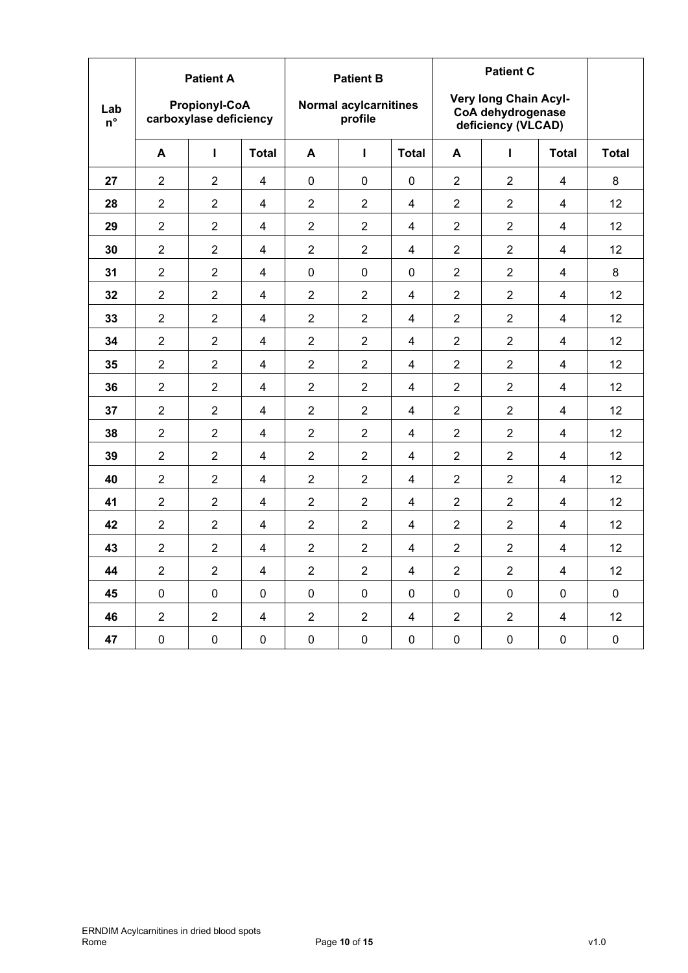|                    |                | <b>Patient A</b>                               |                         |                | <b>Patient B</b>                        |                         |                |                                                                  |                |              |  |
|--------------------|----------------|------------------------------------------------|-------------------------|----------------|-----------------------------------------|-------------------------|----------------|------------------------------------------------------------------|----------------|--------------|--|
| Lab<br>$n^{\circ}$ |                | <b>Propionyl-CoA</b><br>carboxylase deficiency |                         |                | <b>Normal acylcarnitines</b><br>profile |                         |                | Very long Chain Acyl-<br>CoA dehydrogenase<br>deficiency (VLCAD) |                |              |  |
|                    | A              | п                                              | <b>Total</b>            | A              | Т                                       | <b>Total</b>            | A              | L                                                                | <b>Total</b>   | <b>Total</b> |  |
| 27                 | $\overline{2}$ | $\overline{2}$                                 | 4                       | $\mathbf{0}$   | $\Omega$                                | $\Omega$                | $\overline{2}$ | $\overline{2}$                                                   | 4              | 8            |  |
| 28                 | $\overline{2}$ | $\overline{2}$                                 | 4                       | $\overline{2}$ | $\overline{2}$                          | 4                       | $\overline{2}$ | $\overline{2}$                                                   | 4              | 12           |  |
| 29                 | $\overline{2}$ | $\overline{2}$                                 | $\overline{\mathbf{4}}$ | $\overline{2}$ | $\overline{2}$                          | 4                       | $\overline{2}$ | $\overline{2}$                                                   | 4              | 12           |  |
| 30                 | $\overline{2}$ | $\overline{2}$                                 | $\overline{\mathbf{4}}$ | $\overline{2}$ | $\overline{2}$                          | $\overline{\mathbf{4}}$ | $\overline{2}$ | $\overline{2}$                                                   | 4              | 12           |  |
| 31                 | $\overline{2}$ | $\overline{2}$                                 | 4                       | 0              | $\Omega$                                | $\Omega$                | $\overline{2}$ | $\overline{2}$                                                   | 4              | 8            |  |
| 32                 | $\overline{2}$ | $\overline{2}$                                 | 4                       | $\overline{2}$ | $\overline{2}$                          | $\overline{4}$          | $\overline{2}$ | $\overline{2}$                                                   | 4              | 12           |  |
| 33                 | $\overline{2}$ | $\overline{2}$                                 | 4                       | $\overline{2}$ | $\overline{2}$                          | 4                       | $\overline{2}$ | $\overline{2}$                                                   | 4              | 12           |  |
| 34                 | $\overline{2}$ | $\overline{2}$                                 | 4                       | $\overline{2}$ | $\overline{2}$                          | 4                       | $\overline{2}$ | $\overline{2}$                                                   | 4              | 12           |  |
| 35                 | $\overline{2}$ | $\overline{2}$                                 | 4                       | $\overline{2}$ | $\overline{2}$                          | $\overline{\mathbf{4}}$ | $\overline{2}$ | $\overline{2}$                                                   | 4              | 12           |  |
| 36                 | $\overline{2}$ | $\overline{2}$                                 | $\overline{\mathbf{4}}$ | $\overline{2}$ | $\overline{2}$                          | 4                       | $\overline{2}$ | $\overline{2}$                                                   | $\overline{4}$ | 12           |  |
| 37                 | $\overline{2}$ | $\overline{2}$                                 | $\overline{4}$          | $\overline{2}$ | $\overline{2}$                          | 4                       | $\overline{2}$ | $\overline{2}$                                                   | 4              | 12           |  |
| 38                 | $\overline{2}$ | $\overline{2}$                                 | $\overline{\mathbf{4}}$ | $\overline{2}$ | $\overline{2}$                          | 4                       | $\overline{2}$ | $\overline{2}$                                                   | 4              | 12           |  |
| 39                 | $\overline{2}$ | $\overline{2}$                                 | 4                       | $\overline{2}$ | $\overline{2}$                          | $\overline{\mathbf{4}}$ | $\overline{2}$ | $\overline{2}$                                                   | 4              | 12           |  |
| 40                 | $\overline{2}$ | $\overline{2}$                                 | 4                       | $\overline{2}$ | $\overline{2}$                          | 4                       | $\overline{2}$ | $\overline{2}$                                                   | 4              | 12           |  |
| 41                 | $\overline{2}$ | $\overline{2}$                                 | 4                       | $\overline{2}$ | $\overline{2}$                          | 4                       | $\overline{2}$ | $\overline{2}$                                                   | $\overline{4}$ | 12           |  |
| 42                 | $\overline{2}$ | $\overline{2}$                                 | 4                       | $\overline{2}$ | $\overline{2}$                          | 4                       | $\overline{2}$ | $\overline{2}$                                                   | 4              | 12           |  |
| 43                 | $\overline{2}$ | $\overline{2}$                                 | $\overline{\mathbf{4}}$ | $\overline{2}$ | $\overline{2}$                          | $\overline{\mathbf{4}}$ | $\overline{2}$ | $\overline{2}$                                                   | $\overline{4}$ | 12           |  |
| 44                 | $\overline{2}$ | $\overline{2}$                                 | 4                       | $\overline{2}$ | $\overline{2}$                          | 4                       | $\overline{2}$ | $\overline{2}$                                                   | 4              | 12           |  |
| 45                 | 0              | 0                                              | 0                       | $\mathbf 0$    | $\mathbf 0$                             | $\Omega$                | $\mathbf 0$    | $\mathbf 0$                                                      | 0              | $\mathbf 0$  |  |
| 46                 | $\overline{2}$ | $\overline{2}$                                 | 4                       | $\overline{2}$ | $\overline{2}$                          | $\overline{\mathbf{4}}$ | $\overline{2}$ | $\overline{2}$                                                   | $\overline{4}$ | 12           |  |
| 47                 | $\pmb{0}$      | $\pmb{0}$                                      | $\pmb{0}$               | $\pmb{0}$      | 0                                       | $\pmb{0}$               | $\pmb{0}$      | $\pmb{0}$                                                        | $\pmb{0}$      | $\pmb{0}$    |  |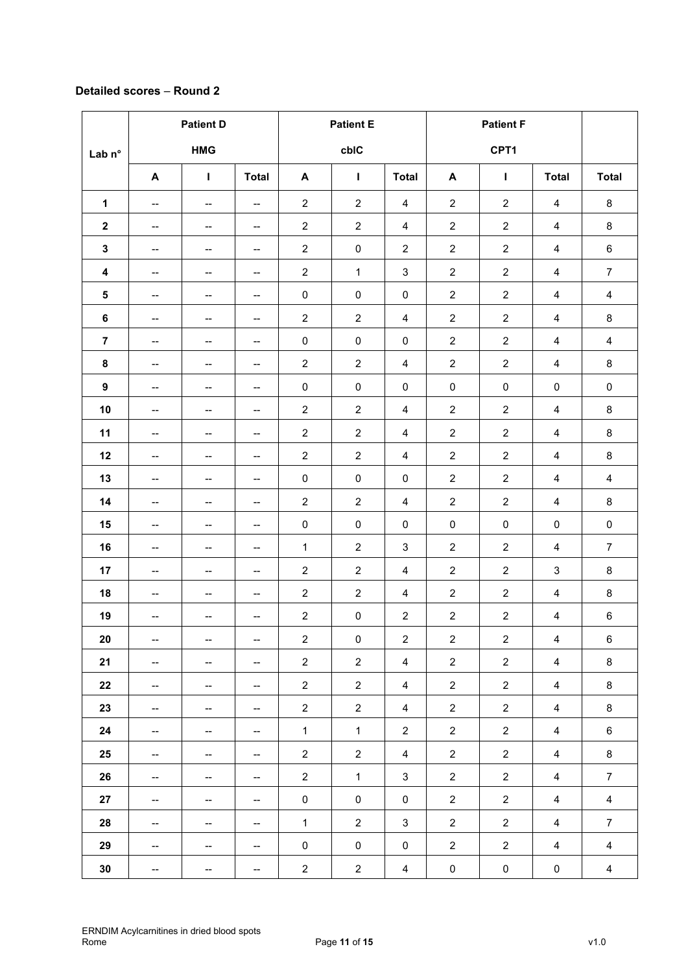# **Detailed scores** – **Round 2**

|                         | <b>Patient D</b>                    |                                     |                                     | <b>Patient E</b> |                  |                         | <b>Patient F</b>        |                |                           |                         |
|-------------------------|-------------------------------------|-------------------------------------|-------------------------------------|------------------|------------------|-------------------------|-------------------------|----------------|---------------------------|-------------------------|
| Lab n°                  |                                     | <b>HMG</b>                          |                                     |                  | cbIC             |                         |                         | CPT1           |                           |                         |
|                         | A                                   | $\mathbf{I}$                        | <b>Total</b>                        | A                | $\mathbf{I}$     | <b>Total</b>            | A                       | $\mathbf{I}$   | <b>Total</b>              | <b>Total</b>            |
| 1                       | $\overline{\phantom{a}}$            | $\overline{\phantom{a}}$            | $\hspace{0.05cm}$ $\hspace{0.05cm}$ | $\overline{c}$   | $\sqrt{2}$       | $\overline{\mathbf{4}}$ | $\boldsymbol{2}$        | $\overline{2}$ | 4                         | $\bf 8$                 |
| $\boldsymbol{2}$        | --                                  | --                                  | --                                  | $\overline{c}$   | $\boldsymbol{2}$ | $\overline{\mathbf{4}}$ | $\overline{\mathbf{c}}$ | $\overline{c}$ | $\overline{4}$            | $\bf 8$                 |
| ${\bf 3}$               | --                                  | $\overline{\phantom{a}}$            | $\hspace{0.05cm}$ $\hspace{0.05cm}$ | $\overline{c}$   | $\pmb{0}$        | $\overline{c}$          | $\sqrt{2}$              | $\overline{2}$ | 4                         | $\,6\,$                 |
| $\overline{\mathbf{4}}$ | $\overline{\phantom{a}}$            | $\qquad \qquad \qquad \blacksquare$ | --                                  | $\overline{c}$   | $\mathbf{1}$     | $\mathsf 3$             | $\sqrt{2}$              | $\overline{2}$ | $\overline{4}$            | $\overline{7}$          |
| ${\bf 5}$               | --                                  | --                                  | --                                  | $\pmb{0}$        | $\pmb{0}$        | $\pmb{0}$               | $\sqrt{2}$              | $\overline{2}$ | $\overline{4}$            | $\overline{\mathbf{4}}$ |
| 6                       | --                                  | $\overline{\phantom{a}}$            | $\hspace{0.05cm}$ $\hspace{0.05cm}$ | $\overline{c}$   | $\overline{c}$   | 4                       | $\sqrt{2}$              | $\overline{2}$ | 4                         | $\bf 8$                 |
| $\overline{7}$          | --                                  | --                                  | --                                  | $\pmb{0}$        | $\pmb{0}$        | $\pmb{0}$               | $\boldsymbol{2}$        | $\overline{2}$ | 4                         | $\overline{\mathbf{4}}$ |
| 8                       | ——                                  | --                                  | --                                  | $\overline{c}$   | $\overline{2}$   | $\overline{4}$          | $\overline{\mathbf{c}}$ | $\overline{2}$ | $\overline{\mathbf{4}}$   | 8                       |
| $\boldsymbol{9}$        | --                                  | $\overline{\phantom{a}}$            | $\qquad \qquad \blacksquare$        | $\pmb{0}$        | $\pmb{0}$        | $\pmb{0}$               | $\pmb{0}$               | $\pmb{0}$      | $\pmb{0}$                 | $\pmb{0}$               |
| 10                      | $\overline{\phantom{a}}$            | $\overline{\phantom{a}}$            | --                                  | $\overline{c}$   | $\sqrt{2}$       | $\overline{\mathbf{4}}$ | $\boldsymbol{2}$        | $\overline{c}$ | $\overline{4}$            | 8                       |
| 11                      | --                                  | --                                  | --                                  | $\overline{c}$   | $\boldsymbol{2}$ | 4                       | $\overline{c}$          | $\overline{2}$ | $\overline{4}$            | $\bf 8$                 |
| 12                      | --                                  | --                                  | --                                  | $\overline{c}$   | $\overline{2}$   | $\overline{\mathbf{4}}$ | $\sqrt{2}$              | $\overline{2}$ | 4                         | 8                       |
| 13                      | $\hspace{0.05cm}$ $\hspace{0.05cm}$ | $\overline{\phantom{a}}$            | $\overline{\phantom{a}}$            | 0                | $\pmb{0}$        | $\pmb{0}$               | $\boldsymbol{2}$        | $\overline{2}$ | $\overline{4}$            | $\overline{\mathbf{4}}$ |
| 14                      | --                                  | --                                  | $\qquad \qquad \blacksquare$        | $\overline{2}$   | $\sqrt{2}$       | $\overline{\mathbf{4}}$ | $\boldsymbol{2}$        | $\overline{2}$ | $\overline{4}$            | $\bf 8$                 |
| 15                      | --                                  | $\overline{\phantom{a}}$            | --                                  | $\pmb{0}$        | $\pmb{0}$        | $\pmb{0}$               | $\pmb{0}$               | $\pmb{0}$      | $\pmb{0}$                 | $\pmb{0}$               |
| 16                      | $\hspace{0.05cm}$ $\hspace{0.05cm}$ | $\overline{\phantom{a}}$            | $\overline{\phantom{a}}$            | $\mathbf{1}$     | $\overline{c}$   | $\sqrt{3}$              | $\sqrt{2}$              | $\overline{2}$ | $\overline{4}$            | $\overline{7}$          |
| 17                      | $\overline{\phantom{a}}$            | ——                                  | --                                  | $\overline{c}$   | $\overline{c}$   | $\overline{4}$          | $\boldsymbol{2}$        | $\overline{2}$ | $\ensuremath{\mathsf{3}}$ | 8                       |
| 18                      | --                                  | --                                  | $\qquad \qquad \blacksquare$        | $\overline{c}$   | $\overline{c}$   | $\overline{\mathbf{4}}$ | $\boldsymbol{2}$        | $\overline{2}$ | $\overline{4}$            | $\bf 8$                 |
| 19                      | --                                  | --                                  | $\overline{\phantom{a}}$            | $\overline{c}$   | $\pmb{0}$        | $\sqrt{2}$              | $\boldsymbol{2}$        | $\overline{c}$ | $\overline{4}$            | $\,6$                   |
| 20                      | $\overline{\phantom{a}}$            | --                                  | $\overline{\phantom{a}}$            | $\overline{c}$   | $\pmb{0}$        | $\overline{2}$          | $\overline{2}$          | $\overline{2}$ | $\overline{4}$            | 6                       |
| 21                      | --                                  | $\qquad \qquad \blacksquare$        | $\overline{\phantom{a}}$            | $\overline{a}$   | $\overline{2}$   | $\overline{4}$          | $\overline{2}$          | $\overline{2}$ | $\overline{4}$            | 8                       |
| 22                      | ÷                                   | $\overline{\phantom{a}}$            | --                                  | $\overline{2}$   | $\overline{2}$   | $\overline{4}$          | $\overline{2}$          | $\overline{2}$ | $\overline{4}$            | $\bf 8$                 |
| 23                      | --                                  | ÷                                   | −−                                  | $\overline{a}$   | $\overline{a}$   | $\overline{4}$          | $\overline{a}$          | $\overline{a}$ | $\overline{4}$            | $\bf 8$                 |
| 24                      | ÷                                   | ÷                                   | $\overline{\phantom{a}}$            | $\mathbf{1}$     | $\mathbf 1$      | $\overline{2}$          | $\overline{2}$          | $\overline{a}$ | $\overline{4}$            | $\,6\,$                 |
| 25                      | $\overline{\phantom{a}}$            | $\overline{\phantom{a}}$            | $\overline{\phantom{a}}$            | $\overline{c}$   | $\overline{c}$   | $\overline{4}$          | $\overline{2}$          | $\overline{2}$ | $\overline{4}$            | 8                       |
| 26                      | $\overline{\phantom{a}}$            | ÷                                   | $\overline{\phantom{a}}$            | $\overline{a}$   | $\mathbf{1}$     | $\mathbf{3}$            | $\overline{c}$          | $\overline{2}$ | $\overline{4}$            | $\overline{7}$          |
| 27                      | ÷                                   | $\overline{\phantom{a}}$            | −−                                  | $\pmb{0}$        | $\pmb{0}$        | $\pmb{0}$               | $\overline{2}$          | $\overline{2}$ | $\overline{4}$            | $\overline{4}$          |
| 28                      | $\qquad \qquad -$                   | --                                  | --                                  | $\mathbf{1}$     | $\overline{2}$   | $\mathbf{3}$            | $\overline{2}$          | $\overline{2}$ | $\overline{4}$            | $\overline{7}$          |
| 29                      | $\overline{\phantom{a}}$            | $\overline{\phantom{a}}$            | $\overline{\phantom{a}}$            | $\pmb{0}$        | $\pmb{0}$        | $\mathbf 0$             | $\overline{c}$          | $\overline{2}$ | $\overline{4}$            | $\overline{4}$          |
| 30                      | −−                                  | ÷                                   | $\overline{\phantom{a}}$            | $\overline{c}$   | $\overline{c}$   | $\overline{4}$          | $\pmb{0}$               | $\pmb{0}$      | $\pmb{0}$                 | $\overline{4}$          |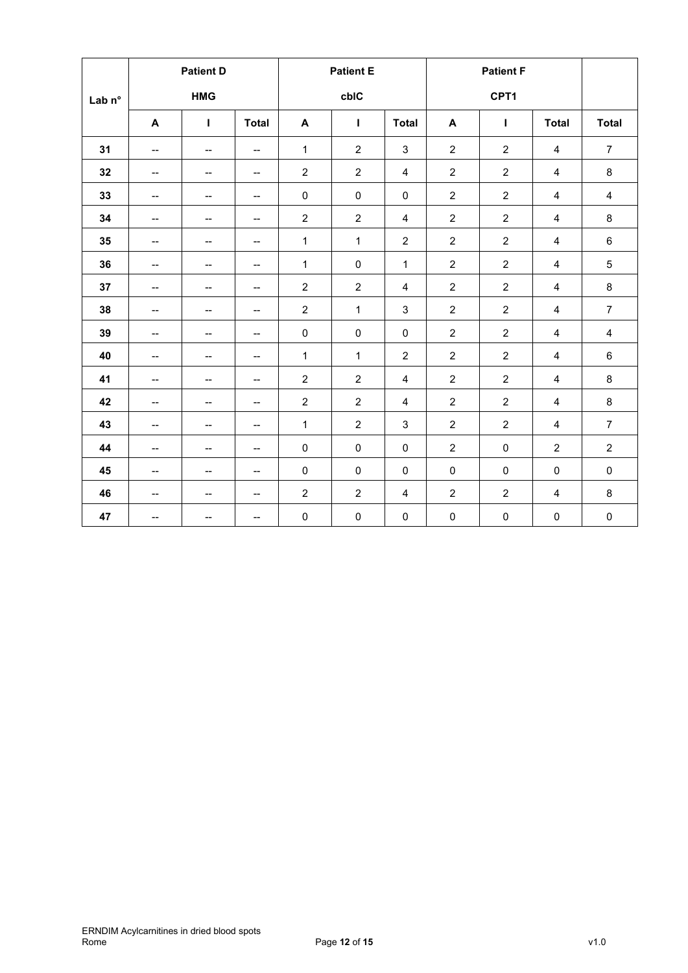|                   | <b>Patient D</b>                                  |                          |                                     | <b>Patient E</b> |                |                         |                  |                  |                         |                |
|-------------------|---------------------------------------------------|--------------------------|-------------------------------------|------------------|----------------|-------------------------|------------------|------------------|-------------------------|----------------|
| Lab <sub>n°</sub> | <b>HMG</b>                                        |                          |                                     |                  | cbIC           |                         |                  |                  |                         |                |
|                   | A                                                 | T                        | <b>Total</b>                        | A                | т              | <b>Total</b>            | A                | Т                | <b>Total</b>            | <b>Total</b>   |
| 31                | $\overline{\phantom{0}}$                          | $-$                      | $\overline{\phantom{a}}$            | 1                | $\overline{c}$ | $\sqrt{3}$              | $\overline{2}$   | $\overline{c}$   | 4                       | $\overline{7}$ |
| 32                | --                                                | $\overline{\phantom{a}}$ | $\hspace{0.05cm}$ $\hspace{0.05cm}$ | $\overline{2}$   | $\overline{2}$ | $\overline{4}$          | $\overline{2}$   | $\overline{2}$   | 4                       | 8              |
| 33                | $-$                                               | $\overline{\phantom{a}}$ | $\overline{\phantom{a}}$            | $\pmb{0}$        | $\pmb{0}$      | $\pmb{0}$               | $\overline{c}$   | $\overline{c}$   | 4                       | $\overline{4}$ |
| 34                | --                                                | --                       | $\overline{\phantom{a}}$            | $\overline{c}$   | $\overline{c}$ | $\overline{4}$          | $\boldsymbol{2}$ | $\sqrt{2}$       | 4                       | 8              |
| 35                | --                                                | $\overline{\phantom{a}}$ | $\overline{\phantom{a}}$            | $\mathbf{1}$     | $\mathbf{1}$   | $\sqrt{2}$              | $\boldsymbol{2}$ | $\overline{2}$   | $\overline{4}$          | 6              |
| 36                | --                                                | $-$                      | $\overline{\phantom{a}}$            | $\mathbf{1}$     | $\pmb{0}$      | $\mathbf{1}$            | $\overline{2}$   | $\boldsymbol{2}$ | 4                       | $\overline{5}$ |
| 37                | --                                                | $\overline{\phantom{a}}$ | $\overline{\phantom{a}}$            | $\overline{2}$   | $\overline{2}$ | $\overline{4}$          | $\overline{c}$   | 2                | $\overline{\mathbf{4}}$ | 8              |
| 38                | $\overline{\phantom{0}}$                          | $-$                      | $\overline{\phantom{a}}$            | $\overline{c}$   | $\mathbf{1}$   | $\sqrt{3}$              | $\overline{c}$   | $\overline{c}$   | 4                       | $\overline{7}$ |
| 39                | --                                                | --                       | $\overline{\phantom{a}}$            | $\pmb{0}$        | $\pmb{0}$      | $\pmb{0}$               | $\boldsymbol{2}$ | $\overline{c}$   | $\overline{\mathbf{4}}$ | $\overline{4}$ |
| 40                | $\hspace{0.05cm}-\hspace{0.05cm}-\hspace{0.05cm}$ | $\overline{\phantom{a}}$ | $\overline{\phantom{a}}$            | $\mathbf{1}$     | $\mathbf{1}$   | $\overline{c}$          | $\overline{c}$   | $\overline{c}$   | 4                       | 6              |
| 41                | --                                                | --                       | $\overline{\phantom{a}}$            | $\overline{2}$   | $\overline{c}$ | $\overline{\mathbf{4}}$ | $\overline{c}$   | $\boldsymbol{2}$ | 4                       | 8              |
| 42                | --                                                | $\overline{\phantom{a}}$ | $\overline{\phantom{a}}$            | $\overline{c}$   | $\overline{c}$ | $\overline{4}$          | $\overline{c}$   | $\overline{c}$   | $\overline{\mathbf{4}}$ | 8              |
| 43                | --                                                | $-$                      | $\overline{\phantom{a}}$            | $\mathbf{1}$     | $\overline{2}$ | $\sqrt{3}$              | $\overline{c}$   | $\overline{c}$   | $\overline{4}$          | $\overline{7}$ |
| 44                | --                                                | --                       | --                                  | $\pmb{0}$        | $\pmb{0}$      | $\pmb{0}$               | $\boldsymbol{2}$ | $\pmb{0}$        | $\overline{c}$          | $\overline{2}$ |
| 45                | $\overline{\phantom{a}}$                          | $\overline{\phantom{a}}$ | $\overline{\phantom{a}}$            | $\pmb{0}$        | $\mathbf 0$    | $\mathbf 0$             | $\pmb{0}$        | $\pmb{0}$        | 0                       | $\pmb{0}$      |
| 46                | $\overline{\phantom{a}}$                          | $\overline{\phantom{a}}$ | $\overline{\phantom{a}}$            | $\overline{2}$   | $\overline{c}$ | $\overline{4}$          | $\boldsymbol{2}$ | $\sqrt{2}$       | 4                       | 8              |
| 47                | $\overline{\phantom{a}}$                          | --                       | $\hspace{0.05cm}$ $\hspace{0.05cm}$ | $\pmb{0}$        | $\pmb{0}$      | $\pmb{0}$               | $\pmb{0}$        | $\pmb{0}$        | $\pmb{0}$               | $\pmb{0}$      |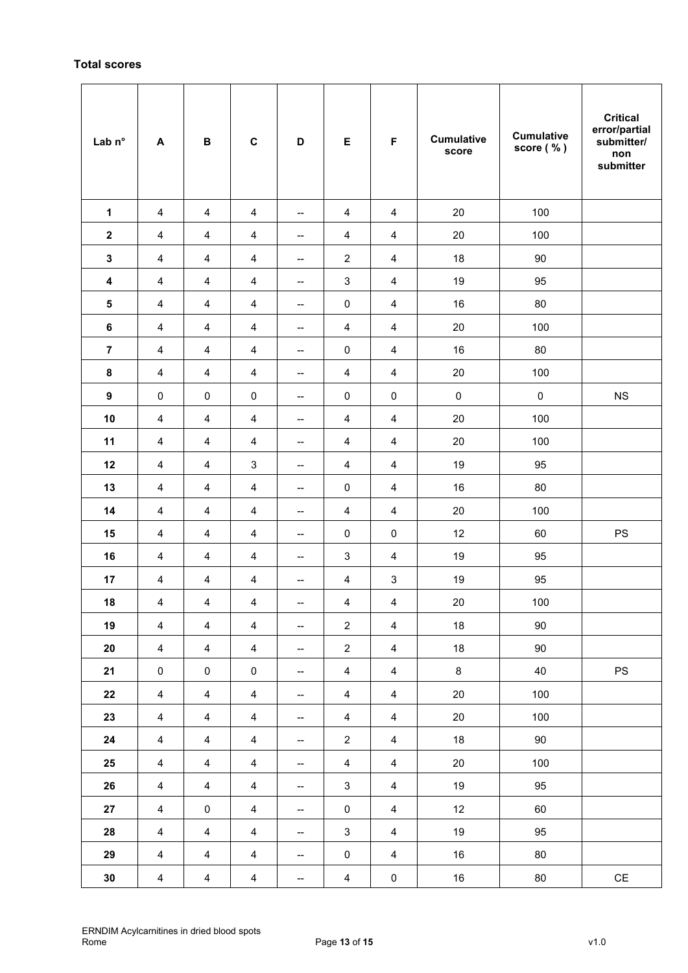# **Total scores**

| Lab n°                  | A                       | $\, {\bf B}$            | $\mathbf c$             | D                        | E                         | $\mathsf F$             | <b>Cumulative</b><br>score | <b>Cumulative</b><br>score (%) | <b>Critical</b><br>error/partial<br>submitter/<br>non<br>submitter |
|-------------------------|-------------------------|-------------------------|-------------------------|--------------------------|---------------------------|-------------------------|----------------------------|--------------------------------|--------------------------------------------------------------------|
| 1                       | $\overline{4}$          | $\overline{4}$          | $\overline{\mathbf{4}}$ | --                       | $\overline{4}$            | $\overline{4}$          | 20                         | 100                            |                                                                    |
| $\boldsymbol{2}$        | 4                       | 4                       | 4                       | --                       | $\overline{4}$            | $\overline{\mathbf{4}}$ | $20\,$                     | 100                            |                                                                    |
| 3                       | 4                       | 4                       | 4                       | --                       | $\overline{\mathbf{c}}$   | $\overline{4}$          | 18                         | 90                             |                                                                    |
| 4                       | 4                       | 4                       | 4                       | $\overline{\phantom{a}}$ | $\ensuremath{\mathsf{3}}$ | $\overline{4}$          | 19                         | 95                             |                                                                    |
| ${\bf 5}$               | $\overline{\mathbf{4}}$ | $\overline{\mathbf{4}}$ | $\overline{4}$          | --                       | $\pmb{0}$                 | $\overline{\mathbf{4}}$ | 16                         | 80                             |                                                                    |
| $\bf 6$                 | 4                       | 4                       | $\overline{4}$          | --                       | $\overline{4}$            | $\overline{4}$          | 20                         | 100                            |                                                                    |
| $\overline{\mathbf{z}}$ | 4                       | 4                       | 4                       | $\overline{\phantom{a}}$ | $\pmb{0}$                 | $\overline{4}$          | 16                         | 80                             |                                                                    |
| $\pmb{8}$               | 4                       | 4                       | 4                       | --                       | $\overline{4}$            | $\overline{4}$          | $20\,$                     | 100                            |                                                                    |
| $\boldsymbol{9}$        | $\pmb{0}$               | $\pmb{0}$               | $\pmb{0}$               | --                       | $\pmb{0}$                 | $\pmb{0}$               | $\pmb{0}$                  | $\pmb{0}$                      | $_{\rm NS}$                                                        |
| 10                      | 4                       | 4                       | 4                       | --                       | $\overline{\mathbf{4}}$   | $\overline{\mathbf{4}}$ | 20                         | 100                            |                                                                    |
| 11                      | $\overline{4}$          | $\overline{\mathbf{4}}$ | $\overline{4}$          | --                       | $\overline{4}$            | $\overline{4}$          | $20\,$                     | 100                            |                                                                    |
| 12                      | 4                       | 4                       | 3                       | $\overline{\phantom{a}}$ | $\overline{\mathbf{4}}$   | 4                       | 19                         | 95                             |                                                                    |
| 13                      | 4                       | 4                       | 4                       | $\overline{\phantom{a}}$ | $\pmb{0}$                 | $\overline{\mathbf{4}}$ | 16                         | 80                             |                                                                    |
| 14                      | $\overline{\mathbf{4}}$ | $\overline{\mathbf{4}}$ | $\overline{\mathbf{4}}$ | --                       | $\overline{4}$            | $\overline{4}$          | 20                         | 100                            |                                                                    |
| 15                      | 4                       | 4                       | 4                       | --                       | $\pmb{0}$                 | $\pmb{0}$               | 12                         | 60                             | $\mathsf{PS}$                                                      |
| 16                      | 4                       | 4                       | 4                       | $\overline{\phantom{a}}$ | 3                         | $\overline{4}$          | 19                         | 95                             |                                                                    |
| 17                      | 4                       | 4                       | 4                       | --                       | $\overline{\mathbf{4}}$   | 3                       | 19                         | 95                             |                                                                    |
| ${\bf 18}$              | $\overline{4}$          | $\overline{4}$          | $\overline{4}$          | --                       | $\overline{4}$            | $\overline{4}$          | $20\,$                     | 100                            |                                                                    |
| 19                      | $\overline{4}$          | $\overline{4}$          | $\overline{4}$          | $\overline{\phantom{a}}$ | $\overline{2}$            | $\overline{4}$          | 18                         | $90\,$                         |                                                                    |
| 20                      | $\overline{4}$          | $\overline{4}$          | $\overline{4}$          | --                       | $\overline{2}$            | $\overline{4}$          | 18                         | 90                             |                                                                    |
| 21                      | $\pmb{0}$               | $\pmb{0}$               | $\pmb{0}$               | --                       | $\overline{4}$            | $\overline{4}$          | $\bf 8$                    | 40                             | $\mathsf{PS}$                                                      |
| 22                      | $\overline{4}$          | $\overline{\mathbf{4}}$ | $\overline{4}$          | $\overline{\phantom{a}}$ | $\overline{4}$            | $\overline{4}$          | 20                         | 100                            |                                                                    |
| 23                      | $\overline{4}$          | $\overline{4}$          | $\overline{4}$          | $\overline{\phantom{a}}$ | $\overline{4}$            | $\overline{4}$          | 20                         | 100                            |                                                                    |
| 24                      | $\overline{4}$          | $\overline{4}$          | $\overline{4}$          | --                       | $\overline{2}$            | $\overline{4}$          | 18                         | 90                             |                                                                    |
| 25                      | $\overline{\mathbf{4}}$ | $\overline{\mathbf{4}}$ | $\overline{4}$          | --                       | $\overline{4}$            | $\overline{4}$          | 20                         | 100                            |                                                                    |
| 26                      | $\overline{4}$          | $\overline{4}$          | $\overline{4}$          | --                       | $\mathbf{3}$              | $\overline{4}$          | 19                         | 95                             |                                                                    |
| 27                      | $\overline{4}$          | $\pmb{0}$               | $\overline{4}$          | $\overline{\phantom{a}}$ | $\pmb{0}$                 | $\overline{4}$          | 12                         | 60                             |                                                                    |
| 28                      | $\overline{4}$          | $\overline{\mathbf{4}}$ | $\overline{4}$          | --                       | $\mathsf 3$               | $\overline{4}$          | 19                         | 95                             |                                                                    |
| 29                      | $\overline{4}$          | $\overline{4}$          | $\overline{4}$          | $\overline{\phantom{a}}$ | $\pmb{0}$                 | $\overline{4}$          | 16                         | 80                             |                                                                    |
| $30\,$                  | $\overline{4}$          | $\overline{\mathbf{4}}$ | $\overline{4}$          | $\overline{\phantom{a}}$ | $\overline{4}$            | $\pmb{0}$               | 16                         | $80\,$                         | $\mathsf{CE}% _{\mathcal{A}}$                                      |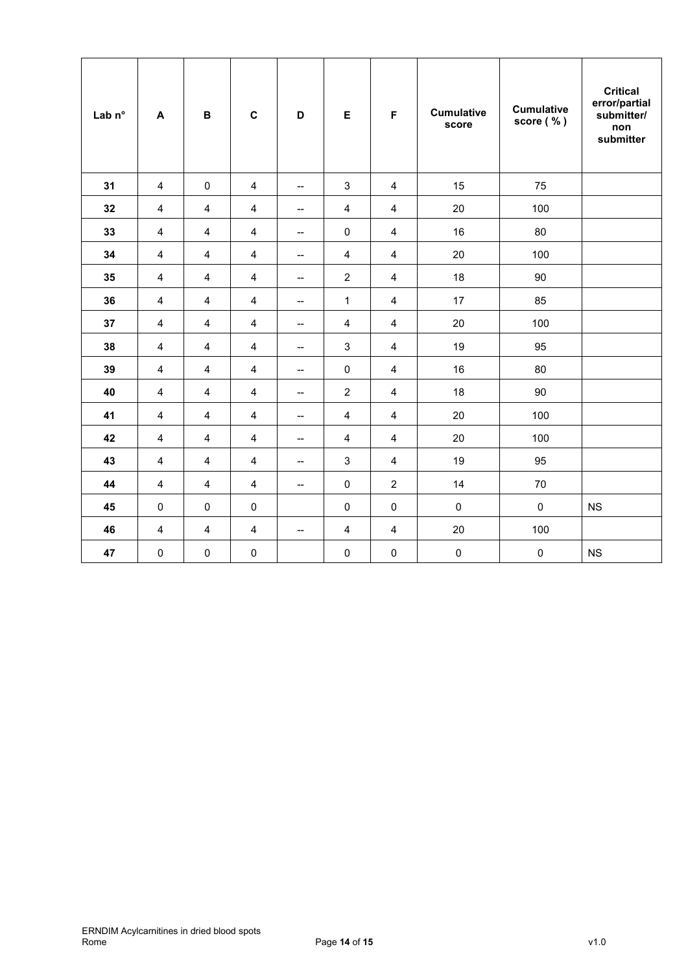| Lab <sub>n°</sub> | A                       | $\, {\bf B}$            | $\mathbf c$             | D                        | E                         | F                       | <b>Cumulative</b><br>score | <b>Cumulative</b><br>score (%) | <b>Critical</b><br>error/partial<br>submitter/<br>non<br>submitter |
|-------------------|-------------------------|-------------------------|-------------------------|--------------------------|---------------------------|-------------------------|----------------------------|--------------------------------|--------------------------------------------------------------------|
| 31                | $\overline{4}$          | $\pmb{0}$               | $\overline{4}$          | $\overline{\phantom{a}}$ | $\ensuremath{\mathsf{3}}$ | $\overline{4}$          | 15                         | 75                             |                                                                    |
| 32                | $\overline{\mathbf{4}}$ | $\overline{\mathbf{4}}$ | $\overline{4}$          | $\overline{\phantom{a}}$ | $\overline{\mathbf{4}}$   | $\overline{\mathbf{4}}$ | 20                         | 100                            |                                                                    |
| 33                | $\overline{\mathbf{4}}$ | $\overline{\mathbf{4}}$ | $\overline{4}$          | $\overline{\phantom{a}}$ | $\pmb{0}$                 | $\overline{\mathbf{4}}$ | 16                         | 80                             |                                                                    |
| 34                | $\overline{4}$          | $\overline{4}$          | $\overline{4}$          | $\overline{\phantom{a}}$ | $\overline{4}$            | $\overline{4}$          | 20                         | 100                            |                                                                    |
| 35                | $\overline{4}$          | $\overline{4}$          | $\overline{4}$          | $\overline{\phantom{a}}$ | $\overline{2}$            | $\overline{\mathbf{4}}$ | 18                         | 90                             |                                                                    |
| 36                | $\overline{\mathbf{4}}$ | $\overline{\mathbf{4}}$ | $\overline{4}$          | $\overline{\phantom{a}}$ | $\mathbf{1}$              | $\overline{\mathbf{4}}$ | 17                         | 85                             |                                                                    |
| 37                | $\overline{\mathbf{4}}$ | $\overline{\mathbf{4}}$ | $\overline{4}$          | --                       | $\overline{4}$            | $\overline{\mathbf{4}}$ | 20                         | 100                            |                                                                    |
| 38                | $\overline{4}$          | $\overline{4}$          | $\overline{4}$          | $\overline{\phantom{a}}$ | $\mathbf{3}$              | $\overline{4}$          | 19                         | 95                             |                                                                    |
| 39                | $\overline{4}$          | $\overline{4}$          | $\overline{4}$          | $\overline{\phantom{a}}$ | $\pmb{0}$                 | $\overline{4}$          | 16                         | 80                             |                                                                    |
| 40                | $\overline{\mathbf{4}}$ | $\overline{\mathbf{4}}$ | $\overline{4}$          | $\overline{\phantom{a}}$ | $\boldsymbol{2}$          | $\overline{\mathbf{4}}$ | 18                         | 90                             |                                                                    |
| 41                | $\overline{\mathbf{4}}$ | $\overline{\mathbf{4}}$ | $\overline{4}$          | $\overline{\phantom{a}}$ | $\overline{\mathbf{4}}$   | $\overline{\mathbf{4}}$ | 20                         | 100                            |                                                                    |
| 42                | $\overline{4}$          | $\overline{4}$          | $\overline{4}$          | $\overline{\phantom{a}}$ | $\overline{4}$            | $\overline{4}$          | 20                         | 100                            |                                                                    |
| 43                | $\overline{4}$          | $\overline{\mathbf{4}}$ | $\overline{4}$          | $\overline{\phantom{a}}$ | $\mathsf 3$               | $\overline{4}$          | 19                         | 95                             |                                                                    |
| 44                | $\overline{\mathbf{4}}$ | $\overline{\mathbf{4}}$ | $\overline{\mathbf{4}}$ | $\overline{\phantom{a}}$ | $\pmb{0}$                 | $\overline{2}$          | 14                         | 70                             |                                                                    |
| 45                | $\pmb{0}$               | $\pmb{0}$               | $\pmb{0}$               |                          | $\pmb{0}$                 | $\mathbf 0$             | $\mathsf 0$                | $\mathsf{O}\xspace$            | <b>NS</b>                                                          |
| 46                | $\overline{\mathbf{4}}$ | $\overline{\mathbf{4}}$ | $\overline{4}$          | $\overline{\phantom{a}}$ | $\overline{\mathbf{4}}$   | $\overline{\mathbf{4}}$ | 20                         | 100                            |                                                                    |
| 47                | $\mathbf 0$             | $\pmb{0}$               | $\pmb{0}$               |                          | $\pmb{0}$                 | $\mathbf 0$             | $\pmb{0}$                  | $\pmb{0}$                      | <b>NS</b>                                                          |